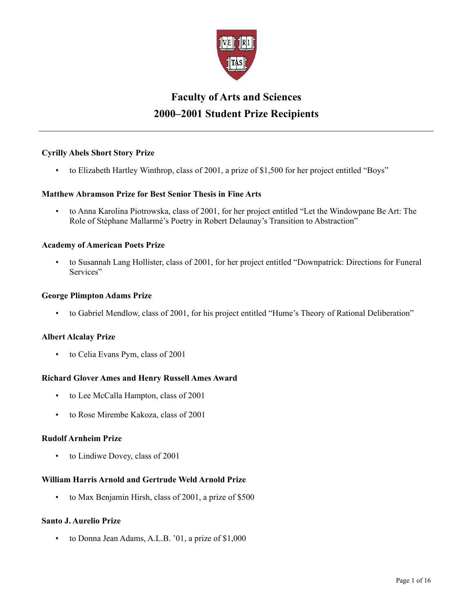

# **Faculty of Arts and Sciences 2000–2001 Student Prize Recipients**

# **Cyrilly Abels Short Story Prize**

• to Elizabeth Hartley Winthrop, class of 2001, a prize of \$1,500 for her project entitled "Boys"

# **Matthew Abramson Prize for Best Senior Thesis in Fine Arts**

• to Anna Karolina Piotrowska, class of 2001, for her project entitled "Let the Windowpane Be Art: The Role of Stéphane Mallarmé's Poetry in Robert Delaunay's Transition to Abstraction"

# **Academy of American Poets Prize**

• to Susannah Lang Hollister, class of 2001, for her project entitled "Downpatrick: Directions for Funeral Services"

## **George Plimpton Adams Prize**

• to Gabriel Mendlow, class of 2001, for his project entitled "Hume's Theory of Rational Deliberation"

# **Albert Alcalay Prize**

to Celia Evans Pym, class of 2001

# **Richard Glover Ames and Henry Russell Ames Award**

- to Lee McCalla Hampton, class of 2001
- to Rose Mirembe Kakoza, class of 2001

# **Rudolf Arnheim Prize**

to Lindiwe Dovey, class of 2001

# **William Harris Arnold and Gertrude Weld Arnold Prize**

• to Max Benjamin Hirsh, class of 2001, a prize of \$500

# **Santo J. Aurelio Prize**

• to Donna Jean Adams, A.L.B. '01, a prize of \$1,000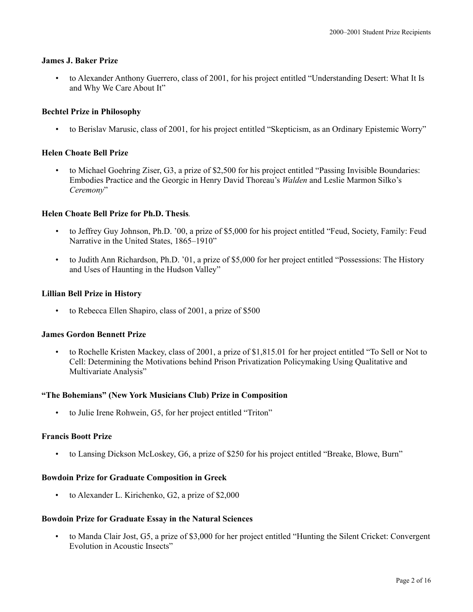## **James J. Baker Prize**

• to Alexander Anthony Guerrero, class of 2001, for his project entitled "Understanding Desert: What It Is and Why We Care About It"

## **Bechtel Prize in Philosophy**

• to Berislav Marusic, class of 2001, for his project entitled "Skepticism, as an Ordinary Epistemic Worry"

## **Helen Choate Bell Prize**

• to Michael Goehring Ziser, G3, a prize of \$2,500 for his project entitled "Passing Invisible Boundaries: Embodies Practice and the Georgic in Henry David Thoreau's *Walden* and Leslie Marmon Silko's *Ceremony*"

## **Helen Choate Bell Prize for Ph.D. Thesis***.*

- to Jeffrey Guy Johnson, Ph.D. '00, a prize of \$5,000 for his project entitled "Feud, Society, Family: Feud Narrative in the United States, 1865–1910"
- to Judith Ann Richardson, Ph.D. '01, a prize of \$5,000 for her project entitled "Possessions: The History and Uses of Haunting in the Hudson Valley"

## **Lillian Bell Prize in History**

• to Rebecca Ellen Shapiro, class of 2001, a prize of \$500

## **James Gordon Bennett Prize**

• to Rochelle Kristen Mackey, class of 2001, a prize of \$1,815.01 for her project entitled "To Sell or Not to Cell: Determining the Motivations behind Prison Privatization Policymaking Using Qualitative and Multivariate Analysis"

## **"The Bohemians" (New York Musicians Club) Prize in Composition**

• to Julie Irene Rohwein, G5, for her project entitled "Triton"

## **Francis Boott Prize**

• to Lansing Dickson McLoskey, G6, a prize of \$250 for his project entitled "Breake, Blowe, Burn"

## **Bowdoin Prize for Graduate Composition in Greek**

• to Alexander L. Kirichenko, G2, a prize of \$2,000

## **Bowdoin Prize for Graduate Essay in the Natural Sciences**

• to Manda Clair Jost, G5, a prize of \$3,000 for her project entitled "Hunting the Silent Cricket: Convergent Evolution in Acoustic Insects"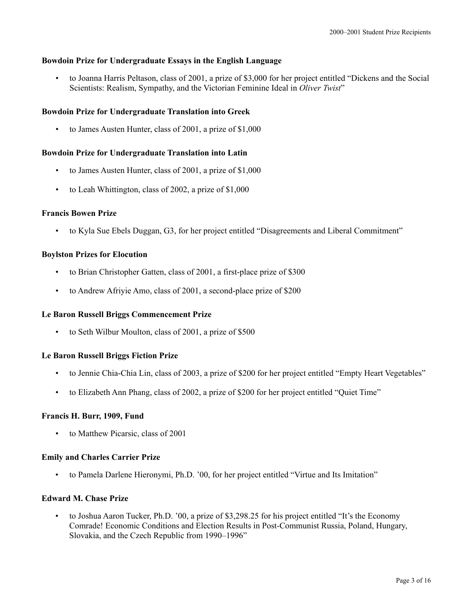# **Bowdoin Prize for Undergraduate Essays in the English Language**

• to Joanna Harris Peltason, class of 2001, a prize of \$3,000 for her project entitled "Dickens and the Social Scientists: Realism, Sympathy, and the Victorian Feminine Ideal in *Oliver Twist*"

# **Bowdoin Prize for Undergraduate Translation into Greek**

• to James Austen Hunter, class of 2001, a prize of \$1,000

# **Bowdoin Prize for Undergraduate Translation into Latin**

- to James Austen Hunter, class of 2001, a prize of \$1,000
- to Leah Whittington, class of 2002, a prize of \$1,000

# **Francis Bowen Prize**

• to Kyla Sue Ebels Duggan, G3, for her project entitled "Disagreements and Liberal Commitment"

# **Boylston Prizes for Elocution**

- to Brian Christopher Gatten, class of 2001, a first-place prize of \$300
- to Andrew Afriyie Amo, class of 2001, a second-place prize of \$200

# **Le Baron Russell Briggs Commencement Prize**

• to Seth Wilbur Moulton, class of 2001, a prize of \$500

# **Le Baron Russell Briggs Fiction Prize**

- to Jennie Chia-Chia Lin, class of 2003, a prize of \$200 for her project entitled "Empty Heart Vegetables"
- to Elizabeth Ann Phang, class of 2002, a prize of \$200 for her project entitled "Quiet Time"

# **Francis H. Burr, 1909, Fund**

• to Matthew Picarsic, class of 2001

# **Emily and Charles Carrier Prize**

• to Pamela Darlene Hieronymi, Ph.D. '00, for her project entitled "Virtue and Its Imitation"

# **Edward M. Chase Prize**

• to Joshua Aaron Tucker, Ph.D. '00, a prize of \$3,298.25 for his project entitled "It's the Economy Comrade! Economic Conditions and Election Results in Post-Communist Russia, Poland, Hungary, Slovakia, and the Czech Republic from 1990–1996"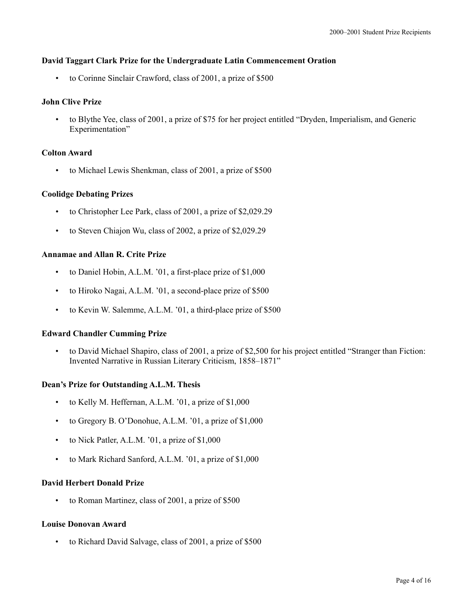## **David Taggart Clark Prize for the Undergraduate Latin Commencement Oration**

• to Corinne Sinclair Crawford, class of 2001, a prize of \$500

## **John Clive Prize**

• to Blythe Yee, class of 2001, a prize of \$75 for her project entitled "Dryden, Imperialism, and Generic Experimentation"

## **Colton Award**

• to Michael Lewis Shenkman, class of 2001, a prize of \$500

## **Coolidge Debating Prizes**

- to Christopher Lee Park, class of 2001, a prize of \$2,029.29
- to Steven Chiajon Wu, class of 2002, a prize of \$2,029.29

## **Annamae and Allan R. Crite Prize**

- to Daniel Hobin, A.L.M. '01, a first-place prize of \$1,000
- to Hiroko Nagai, A.L.M. '01, a second-place prize of \$500
- to Kevin W. Salemme, A.L.M. '01, a third-place prize of \$500

## **Edward Chandler Cumming Prize**

• to David Michael Shapiro, class of 2001, a prize of \$2,500 for his project entitled "Stranger than Fiction: Invented Narrative in Russian Literary Criticism, 1858–1871"

## **Dean's Prize for Outstanding A.L.M. Thesis**

- to Kelly M. Heffernan, A.L.M. '01, a prize of \$1,000
- to Gregory B. O'Donohue, A.L.M. '01, a prize of \$1,000
- to Nick Patler, A.L.M. '01, a prize of \$1,000
- to Mark Richard Sanford, A.L.M. '01, a prize of \$1,000

## **David Herbert Donald Prize**

• to Roman Martinez, class of 2001, a prize of \$500

## **Louise Donovan Award**

to Richard David Salvage, class of 2001, a prize of \$500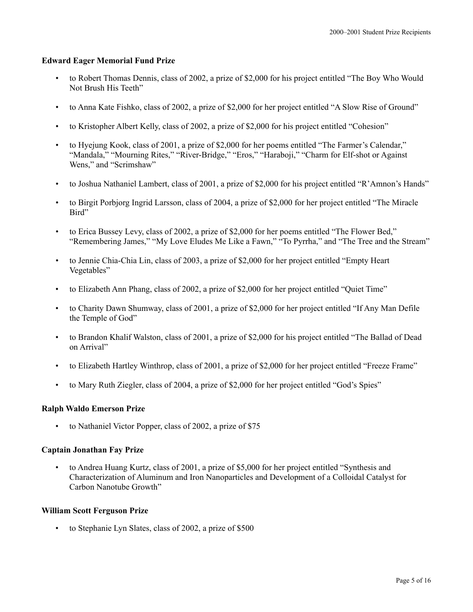# **Edward Eager Memorial Fund Prize**

- to Robert Thomas Dennis, class of 2002, a prize of \$2,000 for his project entitled "The Boy Who Would Not Brush His Teeth"
- to Anna Kate Fishko, class of 2002, a prize of \$2,000 for her project entitled "A Slow Rise of Ground"
- to Kristopher Albert Kelly, class of 2002, a prize of \$2,000 for his project entitled "Cohesion"
- to Hyejung Kook, class of 2001, a prize of \$2,000 for her poems entitled "The Farmer's Calendar," "Mandala," "Mourning Rites," "River-Bridge," "Eros," "Haraboji," "Charm for Elf-shot or Against Wens," and "Scrimshaw"
- to Joshua Nathaniel Lambert, class of 2001, a prize of \$2,000 for his project entitled "R'Amnon's Hands"
- to Birgit Porbjorg Ingrid Larsson, class of 2004, a prize of \$2,000 for her project entitled "The Miracle Bird"
- to Erica Bussey Levy, class of 2002, a prize of \$2,000 for her poems entitled "The Flower Bed," "Remembering James," "My Love Eludes Me Like a Fawn," "To Pyrrha," and "The Tree and the Stream"
- to Jennie Chia-Chia Lin, class of 2003, a prize of \$2,000 for her project entitled "Empty Heart Vegetables"
- to Elizabeth Ann Phang, class of 2002, a prize of \$2,000 for her project entitled "Quiet Time"
- to Charity Dawn Shumway, class of 2001, a prize of \$2,000 for her project entitled "If Any Man Defile the Temple of God"
- to Brandon Khalif Walston, class of 2001, a prize of \$2,000 for his project entitled "The Ballad of Dead on Arrival"
- to Elizabeth Hartley Winthrop, class of 2001, a prize of \$2,000 for her project entitled "Freeze Frame"
- to Mary Ruth Ziegler, class of 2004, a prize of \$2,000 for her project entitled "God's Spies"

# **Ralph Waldo Emerson Prize**

to Nathaniel Victor Popper, class of 2002, a prize of \$75

# **Captain Jonathan Fay Prize**

• to Andrea Huang Kurtz, class of 2001, a prize of \$5,000 for her project entitled "Synthesis and Characterization of Aluminum and Iron Nanoparticles and Development of a Colloidal Catalyst for Carbon Nanotube Growth"

# **William Scott Ferguson Prize**

to Stephanie Lyn Slates, class of 2002, a prize of \$500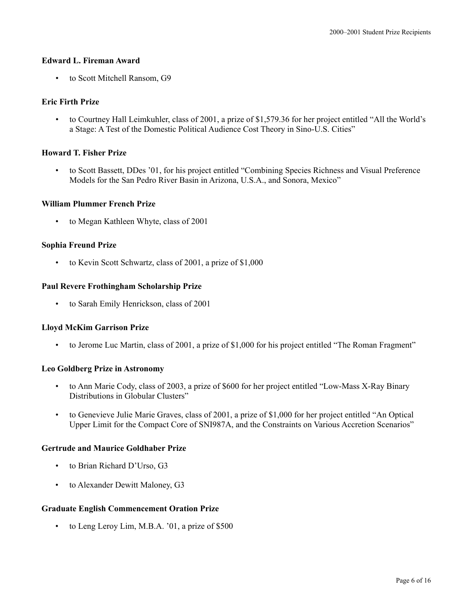## **Edward L. Fireman Award**

• to Scott Mitchell Ransom, G9

## **Eric Firth Prize**

• to Courtney Hall Leimkuhler, class of 2001, a prize of \$1,579.36 for her project entitled "All the World's a Stage: A Test of the Domestic Political Audience Cost Theory in Sino-U.S. Cities"

## **Howard T. Fisher Prize**

• to Scott Bassett, DDes '01, for his project entitled "Combining Species Richness and Visual Preference Models for the San Pedro River Basin in Arizona, U.S.A., and Sonora, Mexico"

## **William Plummer French Prize**

• to Megan Kathleen Whyte, class of 2001

## **Sophia Freund Prize**

• to Kevin Scott Schwartz, class of 2001, a prize of \$1,000

## **Paul Revere Frothingham Scholarship Prize**

• to Sarah Emily Henrickson, class of 2001

# **Lloyd McKim Garrison Prize**

• to Jerome Luc Martin, class of 2001, a prize of \$1,000 for his project entitled "The Roman Fragment"

## **Leo Goldberg Prize in Astronomy**

- to Ann Marie Cody, class of 2003, a prize of \$600 for her project entitled "Low-Mass X-Ray Binary Distributions in Globular Clusters"
- to Genevieve Julie Marie Graves, class of 2001, a prize of \$1,000 for her project entitled "An Optical Upper Limit for the Compact Core of SNI987A, and the Constraints on Various Accretion Scenarios"

## **Gertrude and Maurice Goldhaber Prize**

- to Brian Richard D'Urso, G3
- to Alexander Dewitt Maloney, G3

# **Graduate English Commencement Oration Prize**

• to Leng Leroy Lim, M.B.A. '01, a prize of \$500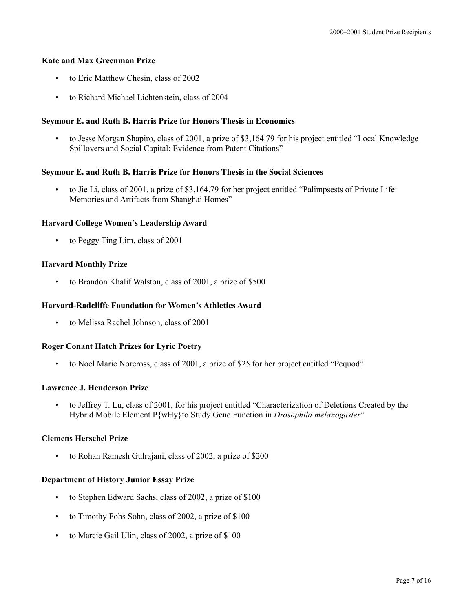# **Kate and Max Greenman Prize**

- to Eric Matthew Chesin, class of 2002
- to Richard Michael Lichtenstein, class of 2004

# **Seymour E. and Ruth B. Harris Prize for Honors Thesis in Economics**

• to Jesse Morgan Shapiro, class of 2001, a prize of \$3,164.79 for his project entitled "Local Knowledge Spillovers and Social Capital: Evidence from Patent Citations"

# **Seymour E. and Ruth B. Harris Prize for Honors Thesis in the Social Sciences**

• to Jie Li, class of 2001, a prize of \$3,164.79 for her project entitled "Palimpsests of Private Life: Memories and Artifacts from Shanghai Homes"

# **Harvard College Women's Leadership Award**

• to Peggy Ting Lim, class of 2001

# **Harvard Monthly Prize**

• to Brandon Khalif Walston, class of 2001, a prize of \$500

# **Harvard-Radcliffe Foundation for Women's Athletics Award**

• to Melissa Rachel Johnson, class of 2001

# **Roger Conant Hatch Prizes for Lyric Poetry**

• to Noel Marie Norcross, class of 2001, a prize of \$25 for her project entitled "Pequod"

# **Lawrence J. Henderson Prize**

• to Jeffrey T. Lu, class of 2001, for his project entitled "Characterization of Deletions Created by the Hybrid Mobile Element P{wHy}to Study Gene Function in *Drosophila melanogaster*"

# **Clemens Herschel Prize**

• to Rohan Ramesh Gulrajani, class of 2002, a prize of \$200

# **Department of History Junior Essay Prize**

- to Stephen Edward Sachs, class of 2002, a prize of \$100
- to Timothy Fohs Sohn, class of 2002, a prize of \$100
- to Marcie Gail Ulin, class of 2002, a prize of \$100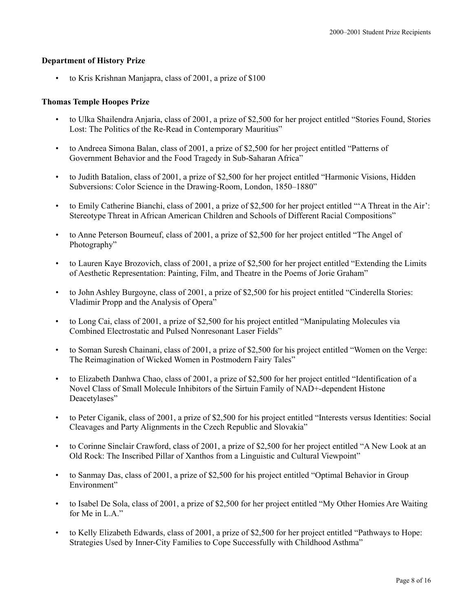# **Department of History Prize**

to Kris Krishnan Manjapra, class of 2001, a prize of \$100

# **Thomas Temple Hoopes Prize**

- to Ulka Shailendra Anjaria, class of 2001, a prize of \$2,500 for her project entitled "Stories Found, Stories Lost: The Politics of the Re-Read in Contemporary Mauritius"
- to Andreea Simona Balan, class of 2001, a prize of \$2,500 for her project entitled "Patterns of Government Behavior and the Food Tragedy in Sub-Saharan Africa"
- to Judith Batalion, class of 2001, a prize of \$2,500 for her project entitled "Harmonic Visions, Hidden Subversions: Color Science in the Drawing-Room, London, 1850–1880"
- to Emily Catherine Bianchi, class of 2001, a prize of \$2,500 for her project entitled "A Threat in the Air": Stereotype Threat in African American Children and Schools of Different Racial Compositions"
- to Anne Peterson Bourneuf, class of 2001, a prize of \$2,500 for her project entitled "The Angel of Photography"
- to Lauren Kaye Brozovich, class of 2001, a prize of \$2,500 for her project entitled "Extending the Limits of Aesthetic Representation: Painting, Film, and Theatre in the Poems of Jorie Graham"
- to John Ashley Burgoyne, class of 2001, a prize of \$2,500 for his project entitled "Cinderella Stories: Vladimir Propp and the Analysis of Opera"
- to Long Cai, class of 2001, a prize of \$2,500 for his project entitled "Manipulating Molecules via Combined Electrostatic and Pulsed Nonresonant Laser Fields"
- to Soman Suresh Chainani, class of 2001, a prize of \$2,500 for his project entitled "Women on the Verge: The Reimagination of Wicked Women in Postmodern Fairy Tales"
- to Elizabeth Danhwa Chao, class of 2001, a prize of \$2,500 for her project entitled "Identification of a Novel Class of Small Molecule Inhibitors of the Sirtuin Family of NAD+-dependent Histone Deacetylases"
- to Peter Ciganik, class of 2001, a prize of \$2,500 for his project entitled "Interests versus Identities: Social Cleavages and Party Alignments in the Czech Republic and Slovakia"
- to Corinne Sinclair Crawford, class of 2001, a prize of \$2,500 for her project entitled "A New Look at an Old Rock: The Inscribed Pillar of Xanthos from a Linguistic and Cultural Viewpoint"
- to Sanmay Das, class of 2001, a prize of \$2,500 for his project entitled "Optimal Behavior in Group Environment"
- to Isabel De Sola, class of 2001, a prize of \$2,500 for her project entitled "My Other Homies Are Waiting for Me in L.A."
- to Kelly Elizabeth Edwards, class of 2001, a prize of \$2,500 for her project entitled "Pathways to Hope: Strategies Used by Inner-City Families to Cope Successfully with Childhood Asthma"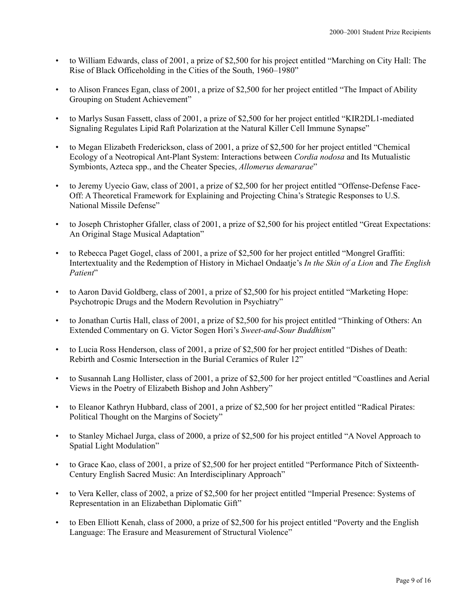- to William Edwards, class of 2001, a prize of \$2,500 for his project entitled "Marching on City Hall: The Rise of Black Officeholding in the Cities of the South, 1960–1980"
- to Alison Frances Egan, class of 2001, a prize of \$2,500 for her project entitled "The Impact of Ability Grouping on Student Achievement"
- to Marlys Susan Fassett, class of 2001, a prize of \$2,500 for her project entitled "KIR2DL1-mediated Signaling Regulates Lipid Raft Polarization at the Natural Killer Cell Immune Synapse"
- to Megan Elizabeth Frederickson, class of 2001, a prize of \$2,500 for her project entitled "Chemical Ecology of a Neotropical Ant-Plant System: Interactions between *Cordia nodosa* and Its Mutualistic Symbionts, Azteca spp., and the Cheater Species, *Allomerus demararae*"
- to Jeremy Uyecio Gaw, class of 2001, a prize of \$2,500 for her project entitled "Offense-Defense Face-Off: A Theoretical Framework for Explaining and Projecting China's Strategic Responses to U.S. National Missile Defense"
- to Joseph Christopher Gfaller, class of 2001, a prize of \$2,500 for his project entitled "Great Expectations: An Original Stage Musical Adaptation"
- to Rebecca Paget Gogel, class of 2001, a prize of \$2,500 for her project entitled "Mongrel Graffiti: Intertextuality and the Redemption of History in Michael Ondaatje's *In the Skin of a Lion* and *The English*  Patient"
- to Aaron David Goldberg, class of 2001, a prize of \$2,500 for his project entitled "Marketing Hope: Psychotropic Drugs and the Modern Revolution in Psychiatry"
- to Jonathan Curtis Hall, class of 2001, a prize of \$2,500 for his project entitled "Thinking of Others: An Extended Commentary on G. Victor Sogen Hori's *Sweet-and-Sour Buddhism*"
- to Lucia Ross Henderson, class of 2001, a prize of \$2,500 for her project entitled "Dishes of Death: Rebirth and Cosmic Intersection in the Burial Ceramics of Ruler 12"
- to Susannah Lang Hollister, class of 2001, a prize of \$2,500 for her project entitled "Coastlines and Aerial Views in the Poetry of Elizabeth Bishop and John Ashbery"
- to Eleanor Kathryn Hubbard, class of 2001, a prize of \$2,500 for her project entitled "Radical Pirates: Political Thought on the Margins of Society"
- to Stanley Michael Jurga, class of 2000, a prize of \$2,500 for his project entitled "A Novel Approach to Spatial Light Modulation"
- to Grace Kao, class of 2001, a prize of \$2,500 for her project entitled "Performance Pitch of Sixteenth-Century English Sacred Music: An Interdisciplinary Approach"
- to Vera Keller, class of 2002, a prize of \$2,500 for her project entitled "Imperial Presence: Systems of Representation in an Elizabethan Diplomatic Gift"
- to Eben Elliott Kenah, class of 2000, a prize of \$2,500 for his project entitled "Poverty and the English Language: The Erasure and Measurement of Structural Violence"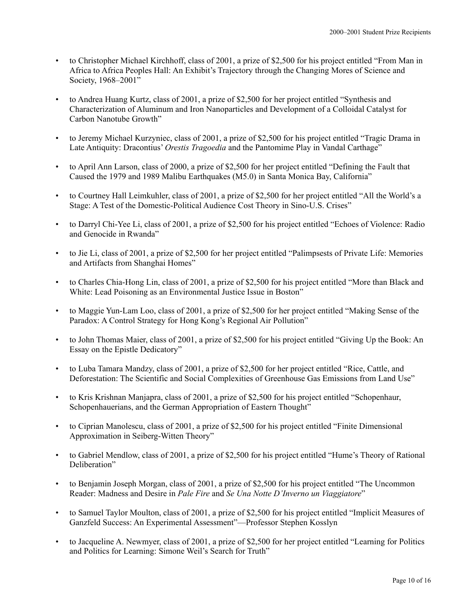- to Christopher Michael Kirchhoff, class of 2001, a prize of \$2,500 for his project entitled "From Man in Africa to Africa Peoples Hall: An Exhibit's Trajectory through the Changing Mores of Science and Society, 1968–2001"
- to Andrea Huang Kurtz, class of 2001, a prize of \$2,500 for her project entitled "Synthesis and Characterization of Aluminum and Iron Nanoparticles and Development of a Colloidal Catalyst for Carbon Nanotube Growth"
- to Jeremy Michael Kurzyniec, class of 2001, a prize of \$2,500 for his project entitled "Tragic Drama in Late Antiquity: Dracontius' *Orestis Tragoedia* and the Pantomime Play in Vandal Carthage"
- to April Ann Larson, class of 2000, a prize of \$2,500 for her project entitled "Defining the Fault that Caused the 1979 and 1989 Malibu Earthquakes (M5.0) in Santa Monica Bay, California"
- to Courtney Hall Leimkuhler, class of 2001, a prize of \$2,500 for her project entitled "All the World's a Stage: A Test of the Domestic-Political Audience Cost Theory in Sino-U.S. Crises"
- to Darryl Chi-Yee Li, class of 2001, a prize of \$2,500 for his project entitled "Echoes of Violence: Radio and Genocide in Rwanda"
- to Jie Li, class of 2001, a prize of \$2,500 for her project entitled "Palimpsests of Private Life: Memories and Artifacts from Shanghai Homes"
- to Charles Chia-Hong Lin, class of 2001, a prize of \$2,500 for his project entitled "More than Black and White: Lead Poisoning as an Environmental Justice Issue in Boston"
- to Maggie Yun-Lam Loo, class of 2001, a prize of \$2,500 for her project entitled "Making Sense of the Paradox: A Control Strategy for Hong Kong's Regional Air Pollution"
- to John Thomas Maier, class of 2001, a prize of \$2,500 for his project entitled "Giving Up the Book: An Essay on the Epistle Dedicatory"
- to Luba Tamara Mandzy, class of 2001, a prize of \$2,500 for her project entitled "Rice, Cattle, and Deforestation: The Scientific and Social Complexities of Greenhouse Gas Emissions from Land Use"
- to Kris Krishnan Manjapra, class of 2001, a prize of \$2,500 for his project entitled "Schopenhaur, Schopenhauerians, and the German Appropriation of Eastern Thought"
- to Ciprian Manolescu, class of 2001, a prize of \$2,500 for his project entitled "Finite Dimensional Approximation in Seiberg-Witten Theory"
- to Gabriel Mendlow, class of 2001, a prize of \$2,500 for his project entitled "Hume's Theory of Rational Deliberation"
- to Benjamin Joseph Morgan, class of 2001, a prize of \$2,500 for his project entitled "The Uncommon Reader: Madness and Desire in *Pale Fire* and *Se Una Notte D'Inverno un Viaggiatore*"
- to Samuel Taylor Moulton, class of 2001, a prize of \$2,500 for his project entitled "Implicit Measures of Ganzfeld Success: An Experimental Assessment"—Professor Stephen Kosslyn
- to Jacqueline A. Newmyer, class of 2001, a prize of \$2,500 for her project entitled "Learning for Politics and Politics for Learning: Simone Weil's Search for Truth"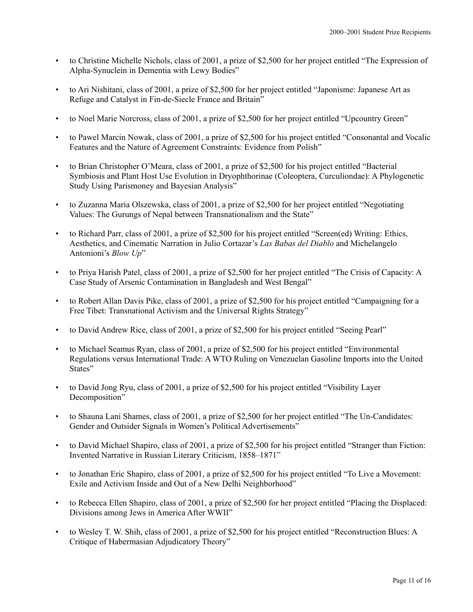- to Christine Michelle Nichols, class of 2001, a prize of \$2,500 for her project entitled "The Expression of Alpha-Synuclein in Dementia with Lewy Bodies"
- to Ari Nishitani, class of 2001, a prize of \$2,500 for her project entitled "Japonisme: Japanese Art as Refuge and Catalyst in Fin-de-Siecle France and Britain<sup>"</sup>
- to Noel Marie Norcross, class of 2001, a prize of \$2,500 for her project entitled "Upcountry Green"
- to Pawel Marcin Nowak, class of 2001, a prize of \$2,500 for his project entitled "Consonantal and Vocalic Features and the Nature of Agreement Constraints: Evidence from Polish"
- to Brian Christopher O'Meara, class of 2001, a prize of \$2,500 for his project entitled "Bacterial Symbiosis and Plant Host Use Evolution in Dryophthorinae (Coleoptera, Curculiondae): A Phylogenetic Study Using Parismoney and Bayesian Analysis"
- to Zuzanna Maria Olszewska, class of 2001, a prize of \$2,500 for her project entitled "Negotiating Values: The Gurungs of Nepal between Transnationalism and the State"
- to Richard Parr, class of 2001, a prize of \$2,500 for his project entitled "Screen(ed) Writing: Ethics, Aesthetics, and Cinematic Narration in Julio Cortazar's *Las Babas del Diablo* and Michelangelo Antonioni's *Blow Up*"
- to Priya Harish Patel, class of 2001, a prize of \$2,500 for her project entitled "The Crisis of Capacity: A Case Study of Arsenic Contamination in Bangladesh and West Bengal"
- to Robert Allan Davis Pike, class of 2001, a prize of \$2,500 for his project entitled "Campaigning for a Free Tibet: Transnational Activism and the Universal Rights Strategy"
- to David Andrew Rice, class of 2001, a prize of \$2,500 for his project entitled "Seeing Pearl"
- to Michael Seamus Ryan, class of 2001, a prize of \$2,500 for his project entitled "Environmental Regulations versus International Trade: A WTO Ruling on Venezuelan Gasoline Imports into the United States"
- to David Jong Ryu, class of 2001, a prize of \$2,500 for his project entitled "Visibility Layer Decomposition"
- to Shauna Lani Shames, class of 2001, a prize of \$2,500 for her project entitled "The Un-Candidates: Gender and Outsider Signals in Women's Political Advertisements"
- to David Michael Shapiro, class of 2001, a prize of \$2,500 for his project entitled "Stranger than Fiction: Invented Narrative in Russian Literary Criticism, 1858–1871"
- to Jonathan Eric Shapiro, class of 2001, a prize of \$2,500 for his project entitled "To Live a Movement: Exile and Activism Inside and Out of a New Delhi Neighborhood"
- to Rebecca Ellen Shapiro, class of 2001, a prize of \$2,500 for her project entitled "Placing the Displaced: Divisions among Jews in America After WWII"
- to Wesley T. W. Shih, class of 2001, a prize of \$2,500 for his project entitled "Reconstruction Blues: A Critique of Habermasian Adjudicatory Theory"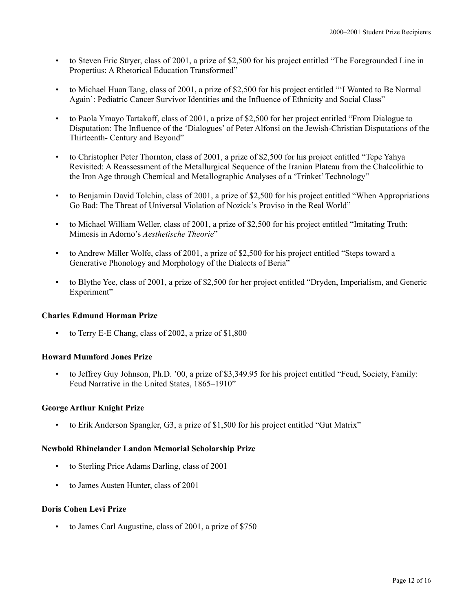- to Steven Eric Stryer, class of 2001, a prize of \$2,500 for his project entitled "The Foregrounded Line in Propertius: A Rhetorical Education Transformed"
- to Michael Huan Tang, class of 2001, a prize of \$2,500 for his project entitled "'I Wanted to Be Normal Again': Pediatric Cancer Survivor Identities and the Influence of Ethnicity and Social Class"
- to Paola Ymayo Tartakoff, class of 2001, a prize of \$2,500 for her project entitled "From Dialogue to Disputation: The Influence of the 'Dialogues' of Peter Alfonsi on the Jewish-Christian Disputations of the Thirteenth- Century and Beyond"
- to Christopher Peter Thornton, class of 2001, a prize of \$2,500 for his project entitled "Tepe Yahya" Revisited: A Reassessment of the Metallurgical Sequence of the Iranian Plateau from the Chalcolithic to the Iron Age through Chemical and Metallographic Analyses of a 'Trinket' Technology"
- to Benjamin David Tolchin, class of 2001, a prize of \$2,500 for his project entitled "When Appropriations Go Bad: The Threat of Universal Violation of Nozick's Proviso in the Real World"
- to Michael William Weller, class of 2001, a prize of \$2,500 for his project entitled "Imitating Truth: Mimesis in Adorno's *Aesthetische Theorie*"
- to Andrew Miller Wolfe, class of 2001, a prize of \$2,500 for his project entitled "Steps toward a Generative Phonology and Morphology of the Dialects of Beria"
- to Blythe Yee, class of 2001, a prize of \$2,500 for her project entitled "Dryden, Imperialism, and Generic Experiment"

# **Charles Edmund Horman Prize**

• to Terry E-E Chang, class of 2002, a prize of \$1,800

# **Howard Mumford Jones Prize**

• to Jeffrey Guy Johnson, Ph.D. '00, a prize of \$3,349.95 for his project entitled "Feud, Society, Family: Feud Narrative in the United States, 1865–1910"

## **George Arthur Knight Prize**

• to Erik Anderson Spangler, G3, a prize of \$1,500 for his project entitled "Gut Matrix"

## **Newbold Rhinelander Landon Memorial Scholarship Prize**

- to Sterling Price Adams Darling, class of 2001
- to James Austen Hunter, class of 2001

## **Doris Cohen Levi Prize**

• to James Carl Augustine, class of 2001, a prize of \$750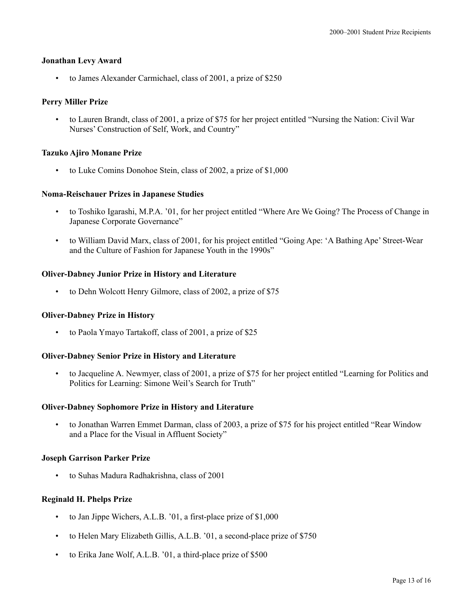#### **Jonathan Levy Award**

• to James Alexander Carmichael, class of 2001, a prize of \$250

## **Perry Miller Prize**

• to Lauren Brandt, class of 2001, a prize of \$75 for her project entitled "Nursing the Nation: Civil War Nurses' Construction of Self, Work, and Country"

## **Tazuko Ajiro Monane Prize**

• to Luke Comins Donohoe Stein, class of 2002, a prize of \$1,000

## **Noma-Reischauer Prizes in Japanese Studies**

- to Toshiko Igarashi, M.P.A. '01, for her project entitled "Where Are We Going? The Process of Change in Japanese Corporate Governance"
- to William David Marx, class of 2001, for his project entitled "Going Ape: 'A Bathing Ape' Street-Wear and the Culture of Fashion for Japanese Youth in the 1990s"

## **Oliver-Dabney Junior Prize in History and Literature**

• to Dehn Wolcott Henry Gilmore, class of 2002, a prize of \$75

## **Oliver-Dabney Prize in History**

• to Paola Ymayo Tartakoff, class of 2001, a prize of \$25

## **Oliver-Dabney Senior Prize in History and Literature**

• to Jacqueline A. Newmyer, class of 2001, a prize of \$75 for her project entitled "Learning for Politics and Politics for Learning: Simone Weil's Search for Truth"

## **Oliver-Dabney Sophomore Prize in History and Literature**

• to Jonathan Warren Emmet Darman, class of 2003, a prize of \$75 for his project entitled "Rear Window and a Place for the Visual in Affluent Society"

## **Joseph Garrison Parker Prize**

• to Suhas Madura Radhakrishna, class of 2001

# **Reginald H. Phelps Prize**

- to Jan Jippe Wichers, A.L.B. '01, a first-place prize of \$1,000
- to Helen Mary Elizabeth Gillis, A.L.B. '01, a second-place prize of \$750
- to Erika Jane Wolf, A.L.B. '01, a third-place prize of \$500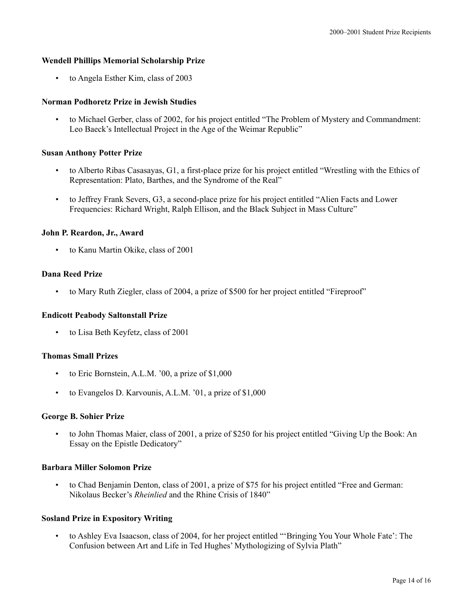## **Wendell Phillips Memorial Scholarship Prize**

• to Angela Esther Kim, class of 2003

## **Norman Podhoretz Prize in Jewish Studies**

• to Michael Gerber, class of 2002, for his project entitled "The Problem of Mystery and Commandment: Leo Baeck's Intellectual Project in the Age of the Weimar Republic"

## **Susan Anthony Potter Prize**

- to Alberto Ribas Casasayas, G1, a first-place prize for his project entitled "Wrestling with the Ethics of Representation: Plato, Barthes, and the Syndrome of the Real"
- to Jeffrey Frank Severs, G3, a second-place prize for his project entitled "Alien Facts and Lower Frequencies: Richard Wright, Ralph Ellison, and the Black Subject in Mass Culture"

## **John P. Reardon, Jr., Award**

• to Kanu Martin Okike, class of 2001

## **Dana Reed Prize**

• to Mary Ruth Ziegler, class of 2004, a prize of \$500 for her project entitled "Fireproof"

## **Endicott Peabody Saltonstall Prize**

• to Lisa Beth Keyfetz, class of 2001

## **Thomas Small Prizes**

- to Eric Bornstein, A.L.M. '00, a prize of \$1,000
- to Evangelos D. Karvounis, A.L.M. '01, a prize of \$1,000

## **George B. Sohier Prize**

• to John Thomas Maier, class of 2001, a prize of \$250 for his project entitled "Giving Up the Book: An Essay on the Epistle Dedicatory"

## **Barbara Miller Solomon Prize**

• to Chad Benjamin Denton, class of 2001, a prize of \$75 for his project entitled "Free and German: Nikolaus Becker's *Rheinlied* and the Rhine Crisis of 1840"

# **Sosland Prize in Expository Writing**

• to Ashley Eva Isaacson, class of 2004, for her project entitled "'Bringing You Your Whole Fate': The Confusion between Art and Life in Ted Hughes' Mythologizing of Sylvia Plath"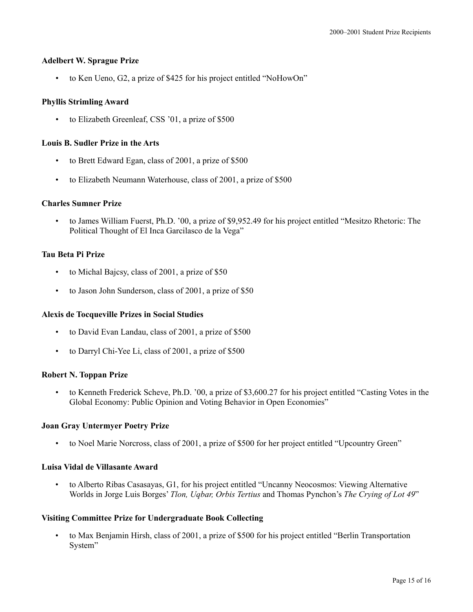# **Adelbert W. Sprague Prize**

• to Ken Ueno, G2, a prize of \$425 for his project entitled "NoHowOn"

# **Phyllis Strimling Award**

to Elizabeth Greenleaf, CSS '01, a prize of \$500

# **Louis B. Sudler Prize in the Arts**

- to Brett Edward Egan, class of 2001, a prize of \$500
- to Elizabeth Neumann Waterhouse, class of 2001, a prize of \$500

# **Charles Sumner Prize**

• to James William Fuerst, Ph.D. '00, a prize of \$9,952.49 for his project entitled "Mesitzo Rhetoric: The Political Thought of El Inca Garcilasco de la Vega"

# **Tau Beta Pi Prize**

- to Michal Bajcsy, class of 2001, a prize of \$50
- to Jason John Sunderson, class of 2001, a prize of \$50

# **Alexis de Tocqueville Prizes in Social Studies**

- to David Evan Landau, class of 2001, a prize of \$500
- to Darryl Chi-Yee Li, class of 2001, a prize of \$500

# **Robert N. Toppan Prize**

• to Kenneth Frederick Scheve, Ph.D. '00, a prize of \$3,600.27 for his project entitled "Casting Votes in the Global Economy: Public Opinion and Voting Behavior in Open Economies"

# **Joan Gray Untermyer Poetry Prize**

• to Noel Marie Norcross, class of 2001, a prize of \$500 for her project entitled "Upcountry Green"

# **Luisa Vidal de Villasante Award**

• to Alberto Ribas Casasayas, G1, for his project entitled "Uncanny Neocosmos: Viewing Alternative Worlds in Jorge Luis Borges' *Tlon, Uqbar, Orbis Tertius* and Thomas Pynchon's *The Crying of Lot 49*"

# **Visiting Committee Prize for Undergraduate Book Collecting**

• to Max Benjamin Hirsh, class of 2001, a prize of \$500 for his project entitled "Berlin Transportation System"